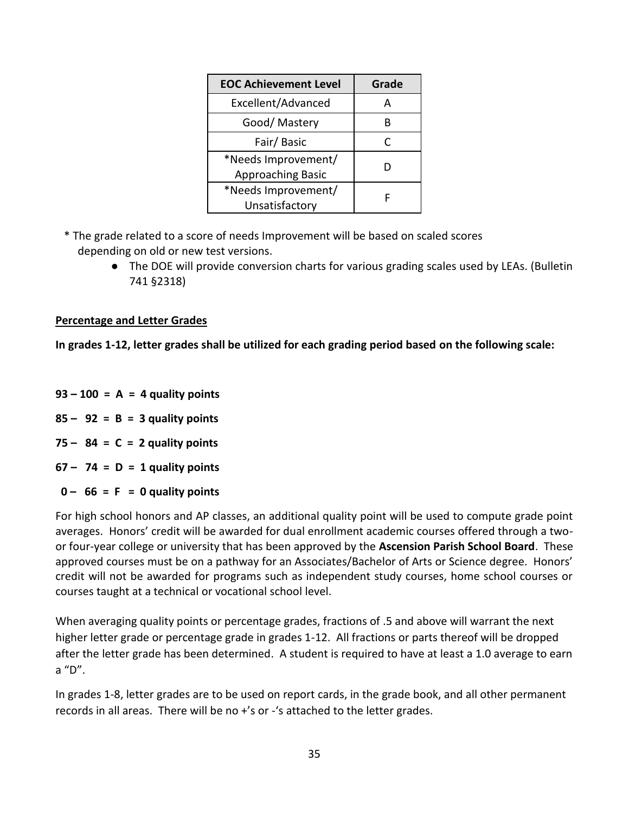| <b>EOC Achievement Level</b> | Grade |
|------------------------------|-------|
| Excellent/Advanced           | д     |
| Good/ Mastery                |       |
| Fair/Basic                   | C     |
| *Needs Improvement/          |       |
| <b>Approaching Basic</b>     |       |
| *Needs Improvement/          |       |
| Unsatisfactory               |       |

- \* The grade related to a score of needs Improvement will be based on scaled scores depending on old or new test versions.
	- The DOE will provide conversion charts for various grading scales used by LEAs. (Bulletin 741 §2318)

#### **Percentage and Letter Grades**

**In grades 1-12, letter grades shall be utilized for each grading period based on the following scale:** 

- **93 – 100 = A = 4 quality points**
- **85 – 92 = B = 3 quality points**
- **75 – 84 = C = 2 quality points**
- **67 – 74 = D = 1 quality points**
- $0 66 = F = 0$  quality points

For high school honors and AP classes, an additional quality point will be used to compute grade point averages. Honors' credit will be awarded for dual enrollment academic courses offered through a twoor four-year college or university that has been approved by the **Ascension Parish School Board**. These approved courses must be on a pathway for an Associates/Bachelor of Arts or Science degree. Honors' credit will not be awarded for programs such as independent study courses, home school courses or courses taught at a technical or vocational school level.

When averaging quality points or percentage grades, fractions of .5 and above will warrant the next higher letter grade or percentage grade in grades 1-12. All fractions or parts thereof will be dropped after the letter grade has been determined. A student is required to have at least a 1.0 average to earn a "D".

In grades 1-8, letter grades are to be used on report cards, in the grade book, and all other permanent records in all areas. There will be no +'s or -'s attached to the letter grades.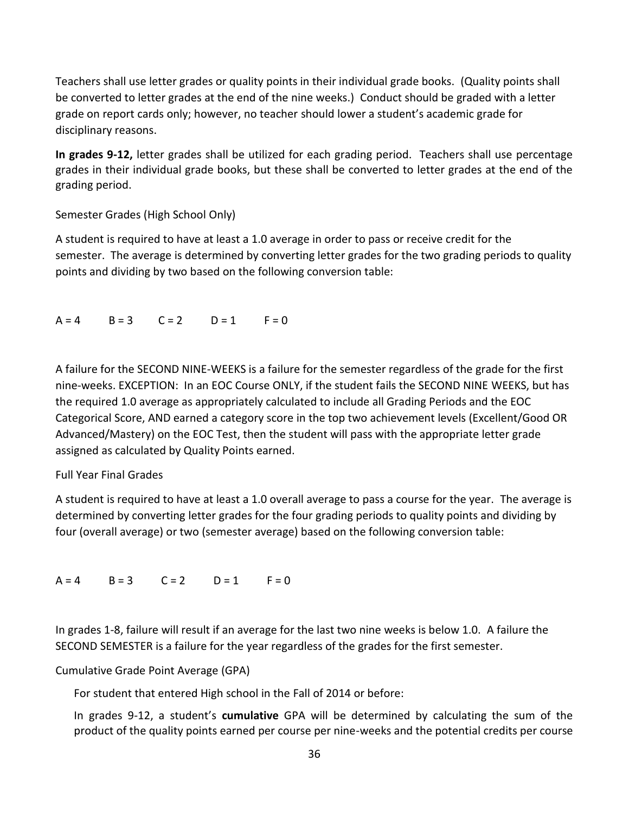Teachers shall use letter grades or quality points in their individual grade books. (Quality points shall be converted to letter grades at the end of the nine weeks.) Conduct should be graded with a letter grade on report cards only; however, no teacher should lower a student's academic grade for disciplinary reasons.

**In grades 9-12,** letter grades shall be utilized for each grading period. Teachers shall use percentage grades in their individual grade books, but these shall be converted to letter grades at the end of the grading period.

### Semester Grades (High School Only)

A student is required to have at least a 1.0 average in order to pass or receive credit for the semester. The average is determined by converting letter grades for the two grading periods to quality points and dividing by two based on the following conversion table:

## $A = 4$   $B = 3$   $C = 2$   $D = 1$   $F = 0$

A failure for the SECOND NINE-WEEKS is a failure for the semester regardless of the grade for the first nine-weeks. EXCEPTION: In an EOC Course ONLY, if the student fails the SECOND NINE WEEKS, but has the required 1.0 average as appropriately calculated to include all Grading Periods and the EOC Categorical Score, AND earned a category score in the top two achievement levels (Excellent/Good OR Advanced/Mastery) on the EOC Test, then the student will pass with the appropriate letter grade assigned as calculated by Quality Points earned.

### Full Year Final Grades

A student is required to have at least a 1.0 overall average to pass a course for the year. The average is determined by converting letter grades for the four grading periods to quality points and dividing by four (overall average) or two (semester average) based on the following conversion table:

 $A = 4$   $B = 3$   $C = 2$   $D = 1$   $F = 0$ 

In grades 1-8, failure will result if an average for the last two nine weeks is below 1.0. A failure the SECOND SEMESTER is a failure for the year regardless of the grades for the first semester.

Cumulative Grade Point Average (GPA)

For student that entered High school in the Fall of 2014 or before:

In grades 9-12, a student's **cumulative** GPA will be determined by calculating the sum of the product of the quality points earned per course per nine-weeks and the potential credits per course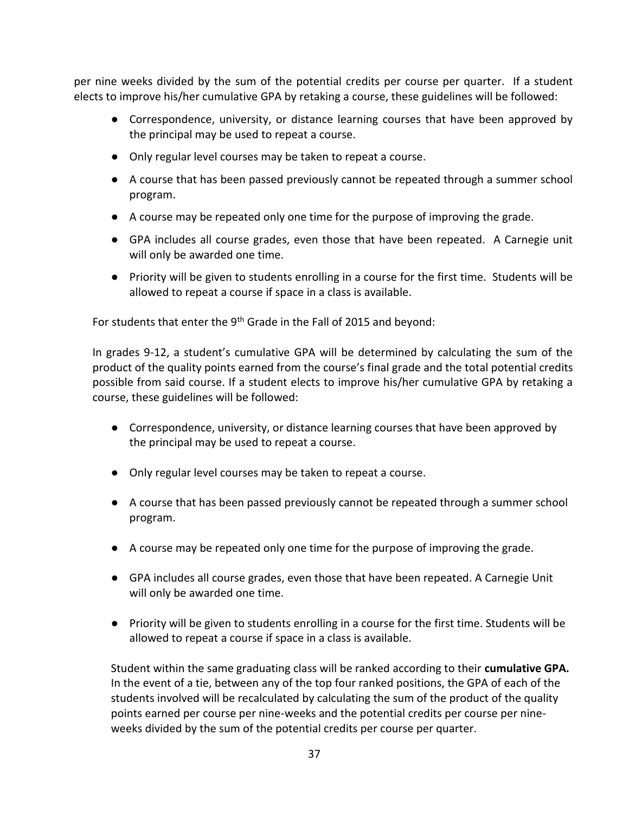per nine weeks divided by the sum of the potential credits per course per quarter. If a student elects to improve his/her cumulative GPA by retaking a course, these guidelines will be followed:

- Correspondence, university, or distance learning courses that have been approved by the principal may be used to repeat a course.
- Only regular level courses may be taken to repeat a course.
- A course that has been passed previously cannot be repeated through a summer school program.
- A course may be repeated only one time for the purpose of improving the grade.
- GPA includes all course grades, even those that have been repeated. A Carnegie unit will only be awarded one time.
- Priority will be given to students enrolling in a course for the first time. Students will be allowed to repeat a course if space in a class is available.

For students that enter the 9<sup>th</sup> Grade in the Fall of 2015 and beyond:

In grades 9-12, a student's cumulative GPA will be determined by calculating the sum of the product of the quality points earned from the course's final grade and the total potential credits possible from said course. If a student elects to improve his/her cumulative GPA by retaking a course, these guidelines will be followed:

- Correspondence, university, or distance learning courses that have been approved by the principal may be used to repeat a course.
- Only regular level courses may be taken to repeat a course.
- A course that has been passed previously cannot be repeated through a summer school program.
- A course may be repeated only one time for the purpose of improving the grade.
- GPA includes all course grades, even those that have been repeated. A Carnegie Unit will only be awarded one time.
- Priority will be given to students enrolling in a course for the first time. Students will be allowed to repeat a course if space in a class is available.

Student within the same graduating class will be ranked according to their **cumulative GPA.**  In the event of a tie, between any of the top four ranked positions, the GPA of each of the students involved will be recalculated by calculating the sum of the product of the quality points earned per course per nine-weeks and the potential credits per course per nineweeks divided by the sum of the potential credits per course per quarter.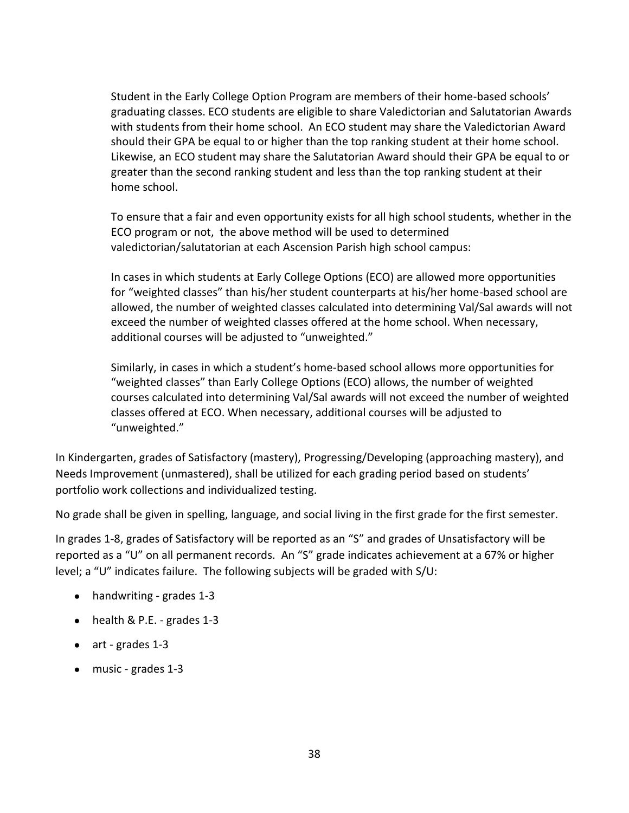Student in the Early College Option Program are members of their home-based schools' graduating classes. ECO students are eligible to share Valedictorian and Salutatorian Awards with students from their home school. An ECO student may share the Valedictorian Award should their GPA be equal to or higher than the top ranking student at their home school. Likewise, an ECO student may share the Salutatorian Award should their GPA be equal to or greater than the second ranking student and less than the top ranking student at their home school.

To ensure that a fair and even opportunity exists for all high school students, whether in the ECO program or not, the above method will be used to determined valedictorian/salutatorian at each Ascension Parish high school campus:

In cases in which students at Early College Options (ECO) are allowed more opportunities for "weighted classes" than his/her student counterparts at his/her home-based school are allowed, the number of weighted classes calculated into determining Val/Sal awards will not exceed the number of weighted classes offered at the home school. When necessary, additional courses will be adjusted to "unweighted."

Similarly, in cases in which a student's home-based school allows more opportunities for "weighted classes" than Early College Options (ECO) allows, the number of weighted courses calculated into determining Val/Sal awards will not exceed the number of weighted classes offered at ECO. When necessary, additional courses will be adjusted to "unweighted."

In Kindergarten, grades of Satisfactory (mastery), Progressing/Developing (approaching mastery), and Needs Improvement (unmastered), shall be utilized for each grading period based on students' portfolio work collections and individualized testing.

No grade shall be given in spelling, language, and social living in the first grade for the first semester.

In grades 1-8, grades of Satisfactory will be reported as an "S" and grades of Unsatisfactory will be reported as a "U" on all permanent records. An "S" grade indicates achievement at a 67% or higher level; a "U" indicates failure. The following subjects will be graded with S/U:

- handwriting grades 1-3
- health & P.E. grades 1-3
- art grades 1-3
- music grades 1-3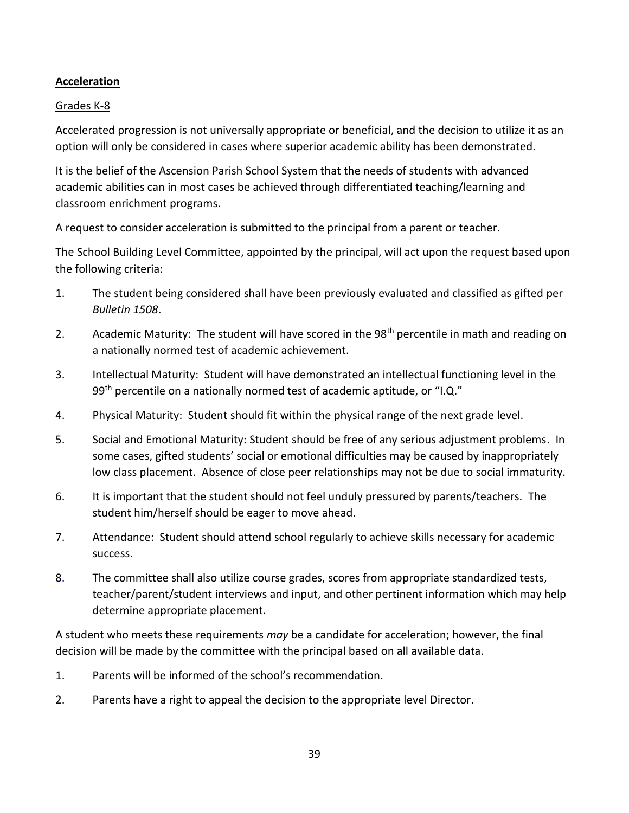### **Acceleration**

#### Grades K-8

Accelerated progression is not universally appropriate or beneficial, and the decision to utilize it as an option will only be considered in cases where superior academic ability has been demonstrated.

It is the belief of the Ascension Parish School System that the needs of students with advanced academic abilities can in most cases be achieved through differentiated teaching/learning and classroom enrichment programs.

A request to consider acceleration is submitted to the principal from a parent or teacher.

The School Building Level Committee, appointed by the principal, will act upon the request based upon the following criteria:

- 1. The student being considered shall have been previously evaluated and classified as gifted per *Bulletin 1508*.
- 2. Academic Maturity: The student will have scored in the 98<sup>th</sup> percentile in math and reading on a nationally normed test of academic achievement.
- 3. Intellectual Maturity: Student will have demonstrated an intellectual functioning level in the 99<sup>th</sup> percentile on a nationally normed test of academic aptitude, or "I.Q."
- 4. Physical Maturity: Student should fit within the physical range of the next grade level.
- 5. Social and Emotional Maturity: Student should be free of any serious adjustment problems. In some cases, gifted students' social or emotional difficulties may be caused by inappropriately low class placement. Absence of close peer relationships may not be due to social immaturity.
- 6. It is important that the student should not feel unduly pressured by parents/teachers. The student him/herself should be eager to move ahead.
- 7. Attendance: Student should attend school regularly to achieve skills necessary for academic success.
- 8. The committee shall also utilize course grades, scores from appropriate standardized tests, teacher/parent/student interviews and input, and other pertinent information which may help determine appropriate placement.

A student who meets these requirements *may* be a candidate for acceleration; however, the final decision will be made by the committee with the principal based on all available data.

- 1. Parents will be informed of the school's recommendation.
- 2. Parents have a right to appeal the decision to the appropriate level Director.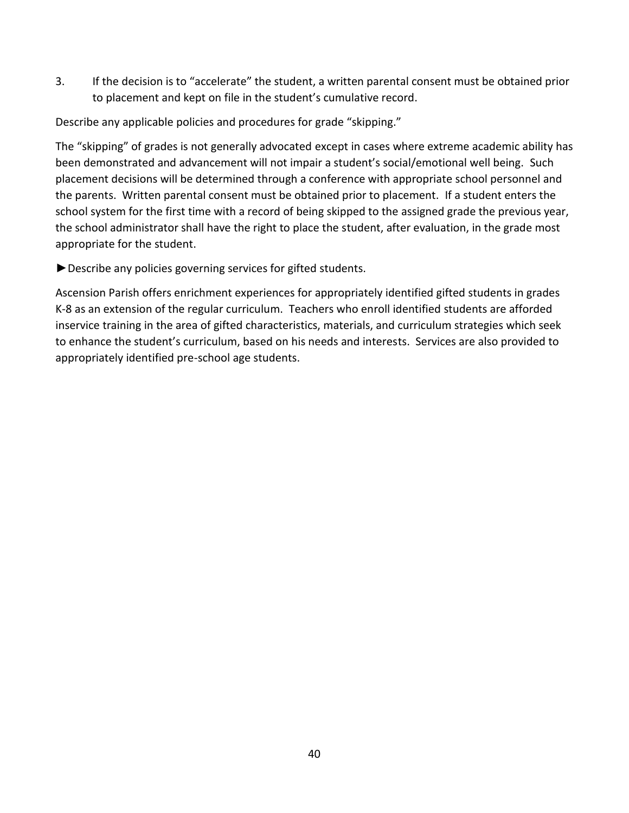3. If the decision is to "accelerate" the student, a written parental consent must be obtained prior to placement and kept on file in the student's cumulative record.

Describe any applicable policies and procedures for grade "skipping."

The "skipping" of grades is not generally advocated except in cases where extreme academic ability has been demonstrated and advancement will not impair a student's social/emotional well being. Such placement decisions will be determined through a conference with appropriate school personnel and the parents. Written parental consent must be obtained prior to placement. If a student enters the school system for the first time with a record of being skipped to the assigned grade the previous year, the school administrator shall have the right to place the student, after evaluation, in the grade most appropriate for the student.

►Describe any policies governing services for gifted students.

Ascension Parish offers enrichment experiences for appropriately identified gifted students in grades K-8 as an extension of the regular curriculum. Teachers who enroll identified students are afforded inservice training in the area of gifted characteristics, materials, and curriculum strategies which seek to enhance the student's curriculum, based on his needs and interests. Services are also provided to appropriately identified pre-school age students.